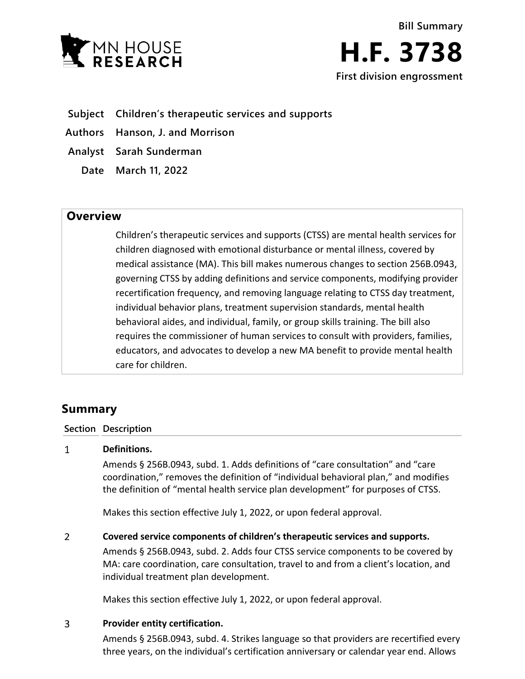

- **Subject Children's therapeutic services and supports**
- **Authors Hanson, J. and Morrison**
- **Analyst Sarah Sunderman**
	- **Date March 11, 2022**

## **Overview**

Children's therapeutic services and supports (CTSS) are mental health services for children diagnosed with emotional disturbance or mental illness, covered by medical assistance (MA). This bill makes numerous changes to section 256B.0943, governing CTSS by adding definitions and service components, modifying provider recertification frequency, and removing language relating to CTSS day treatment, individual behavior plans, treatment supervision standards, mental health behavioral aides, and individual, family, or group skills training. The bill also requires the commissioner of human services to consult with providers, families, educators, and advocates to develop a new MA benefit to provide mental health care for children.

# **Summary**

### **Section Description**

#### $\mathbf{1}$ **Definitions.**

Amends § 256B.0943, subd. 1. Adds definitions of "care consultation" and "care coordination," removes the definition of "individual behavioral plan," and modifies the definition of "mental health service plan development" for purposes of CTSS.

Makes this section effective July 1, 2022, or upon federal approval.

#### $\overline{2}$ **Covered service components of children's therapeutic services and supports.**

Amends § 256B.0943, subd. 2. Adds four CTSS service components to be covered by MA: care coordination, care consultation, travel to and from a client's location, and individual treatment plan development.

Makes this section effective July 1, 2022, or upon federal approval.

### $\overline{3}$ **Provider entity certification.**

Amends § 256B.0943, subd. 4. Strikes language so that providers are recertified every three years, on the individual's certification anniversary or calendar year end. Allows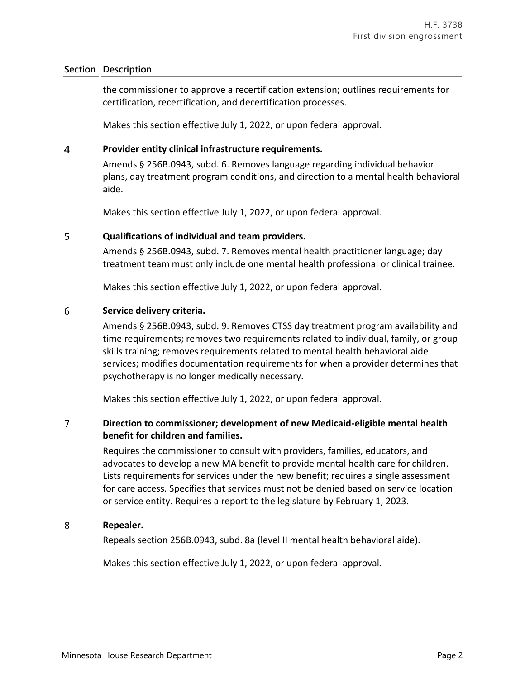### **Section Description**

the commissioner to approve a recertification extension; outlines requirements for certification, recertification, and decertification processes.

Makes this section effective July 1, 2022, or upon federal approval.

### $\overline{4}$ **Provider entity clinical infrastructure requirements.**

Amends § 256B.0943, subd. 6. Removes language regarding individual behavior plans, day treatment program conditions, and direction to a mental health behavioral aide.

Makes this section effective July 1, 2022, or upon federal approval.

### 5 **Qualifications of individual and team providers.**

Amends § 256B.0943, subd. 7. Removes mental health practitioner language; day treatment team must only include one mental health professional or clinical trainee.

Makes this section effective July 1, 2022, or upon federal approval.

### 6 **Service delivery criteria.**

Amends § 256B.0943, subd. 9. Removes CTSS day treatment program availability and time requirements; removes two requirements related to individual, family, or group skills training; removes requirements related to mental health behavioral aide services; modifies documentation requirements for when a provider determines that psychotherapy is no longer medically necessary.

Makes this section effective July 1, 2022, or upon federal approval.

### $\overline{7}$ **Direction to commissioner; development of new Medicaid-eligible mental health benefit for children and families.**

Requires the commissioner to consult with providers, families, educators, and advocates to develop a new MA benefit to provide mental health care for children. Lists requirements for services under the new benefit; requires a single assessment for care access. Specifies that services must not be denied based on service location or service entity. Requires a report to the legislature by February 1, 2023.

#### 8 **Repealer.**

Repeals section 256B.0943, subd. 8a (level II mental health behavioral aide).

Makes this section effective July 1, 2022, or upon federal approval.